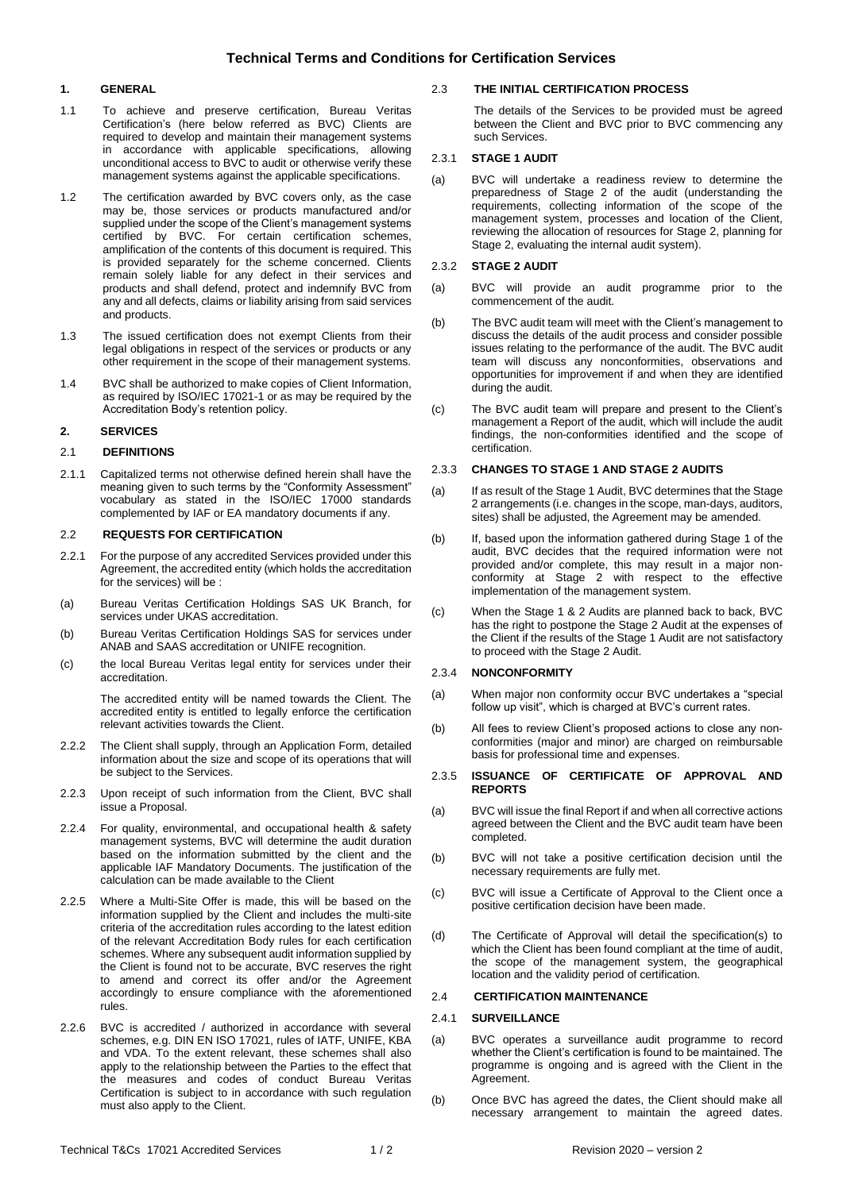# **Technical Terms and Conditions for Certification Services**

# **1. GENERAL**

- 1.1 To achieve and preserve certification, Bureau Veritas Certification's (here below referred as BVC) Clients are required to develop and maintain their management systems in accordance with applicable specifications, allowing unconditional access to BVC to audit or otherwise verify these management systems against the applicable specifications.
- 1.2 The certification awarded by BVC covers only, as the case may be, those services or products manufactured and/or supplied under the scope of the Client's management systems certified by BVC. For certain certification schemes, amplification of the contents of this document is required. This is provided separately for the scheme concerned. Clients remain solely liable for any defect in their services and products and shall defend, protect and indemnify BVC from any and all defects, claims or liability arising from said services and products.
- 1.3 The issued certification does not exempt Clients from their legal obligations in respect of the services or products or any other requirement in the scope of their management systems.
- 1.4 BVC shall be authorized to make copies of Client Information, as required by ISO/IEC 17021-1 or as may be required by the Accreditation Body's retention policy.

# **2. SERVICES**

# 2.1 **DEFINITIONS**

2.1.1 Capitalized terms not otherwise defined herein shall have the meaning given to such terms by the "Conformity Assessment" vocabulary as stated in the ISO/IEC 17000 standards complemented by IAF or EA mandatory documents if any.

### 2.2 **REQUESTS FOR CERTIFICATION**

- 2.2.1 For the purpose of any accredited Services provided under this Agreement, the accredited entity (which holds the accreditation for the services) will be :
- (a) Bureau Veritas Certification Holdings SAS UK Branch, for services under UKAS accreditation.
- (b) Bureau Veritas Certification Holdings SAS for services under ANAB and SAAS accreditation or UNIFE recognition.
- (c) the local Bureau Veritas legal entity for services under their accreditation.

The accredited entity will be named towards the Client. The accredited entity is entitled to legally enforce the certification relevant activities towards the Client.

- 2.2.2 The Client shall supply, through an Application Form, detailed information about the size and scope of its operations that will be subject to the Services.
- 2.2.3 Upon receipt of such information from the Client, BVC shall issue a Proposal.
- 2.2.4 For quality, environmental, and occupational health & safety management systems, BVC will determine the audit duration based on the information submitted by the client and the applicable IAF Mandatory Documents. The justification of the calculation can be made available to the Client
- 2.2.5 Where a Multi-Site Offer is made, this will be based on the information supplied by the Client and includes the multi-site criteria of the accreditation rules according to the latest edition of the relevant Accreditation Body rules for each certification schemes. Where any subsequent audit information supplied by the Client is found not to be accurate, BVC reserves the right to amend and correct its offer and/or the Agreement accordingly to ensure compliance with the aforementioned rules.
- 2.2.6 BVC is accredited / authorized in accordance with several schemes, e.g. DIN EN ISO 17021, rules of IATF, UNIFE, KBA and VDA. To the extent relevant, these schemes shall also apply to the relationship between the Parties to the effect that the measures and codes of conduct Bureau Veritas Certification is subject to in accordance with such regulation must also apply to the Client.

## 2.3 **THE INITIAL CERTIFICATION PROCESS**

The details of the Services to be provided must be agreed between the Client and BVC prior to BVC commencing any such Services.

# 2.3.1 **STAGE 1 AUDIT**

(a) BVC will undertake a readiness review to determine the preparedness of Stage 2 of the audit (understanding the requirements, collecting information of the scope of the management system, processes and location of the Client, reviewing the allocation of resources for Stage 2, planning for Stage 2, evaluating the internal audit system).

## 2.3.2 **STAGE 2 AUDIT**

- (a) BVC will provide an audit programme prior to the commencement of the audit.
- (b) The BVC audit team will meet with the Client's management to discuss the details of the audit process and consider possible issues relating to the performance of the audit. The BVC audit team will discuss any nonconformities, observations and opportunities for improvement if and when they are identified during the audit.
- (c) The BVC audit team will prepare and present to the Client's management a Report of the audit, which will include the audit findings, the non-conformities identified and the scope of certification.

### 2.3.3 **CHANGES TO STAGE 1 AND STAGE 2 AUDITS**

- (a) If as result of the Stage 1 Audit, BVC determines that the Stage 2 arrangements (i.e. changes in the scope, man-days, auditors, sites) shall be adjusted, the Agreement may be amended.
- (b) If, based upon the information gathered during Stage 1 of the audit, BVC decides that the required information were not provided and/or complete, this may result in a major nonconformity at Stage 2 with respect to the effective implementation of the management system.
- (c) When the Stage 1 & 2 Audits are planned back to back, BVC has the right to postpone the Stage 2 Audit at the expenses of the Client if the results of the Stage 1 Audit are not satisfactory to proceed with the Stage 2 Audit.

## 2.3.4 **NONCONFORMITY**

- (a) When major non conformity occur BVC undertakes a "special follow up visit", which is charged at BVC's current rates.
- (b) All fees to review Client's proposed actions to close any nonconformities (major and minor) are charged on reimbursable basis for professional time and expenses.

#### 2.3.5 **ISSUANCE OF CERTIFICATE OF APPROVAL AND REPORTS**

- (a) BVC will issue the final Report if and when all corrective actions agreed between the Client and the BVC audit team have been completed.
- (b) BVC will not take a positive certification decision until the necessary requirements are fully met.
- (c) BVC will issue a Certificate of Approval to the Client once a positive certification decision have been made.
- (d) The Certificate of Approval will detail the specification(s) to which the Client has been found compliant at the time of audit, the scope of the management system, the geographical location and the validity period of certification.

# 2.4 **CERTIFICATION MAINTENANCE**

# 2.4.1 **SURVEILLANCE**

- (a) BVC operates a surveillance audit programme to record whether the Client's certification is found to be maintained. The programme is ongoing and is agreed with the Client in the Agreement.
- (b) Once BVC has agreed the dates, the Client should make all necessary arrangement to maintain the agreed dates.